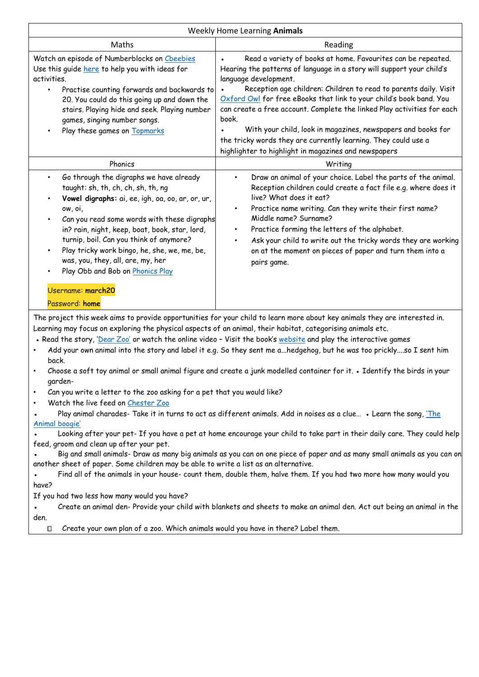| Weekly Home Learning Animals                                                                                                                                                                                                                                                                                                                                                                                                                                                                                                                                                                                                                       |                                                                                                                                                                                                                                                                                                                                                                                                                                                                                                                                                                                         |
|----------------------------------------------------------------------------------------------------------------------------------------------------------------------------------------------------------------------------------------------------------------------------------------------------------------------------------------------------------------------------------------------------------------------------------------------------------------------------------------------------------------------------------------------------------------------------------------------------------------------------------------------------|-----------------------------------------------------------------------------------------------------------------------------------------------------------------------------------------------------------------------------------------------------------------------------------------------------------------------------------------------------------------------------------------------------------------------------------------------------------------------------------------------------------------------------------------------------------------------------------------|
| Maths                                                                                                                                                                                                                                                                                                                                                                                                                                                                                                                                                                                                                                              | Reading                                                                                                                                                                                                                                                                                                                                                                                                                                                                                                                                                                                 |
| Watch an episode of Numberblocks on Cheebies<br>Use this guide here to help you with ideas for<br>activities.<br>Practise counting forwards and backwards to<br>20. You could do this going up and down the<br>stairs. Playing hide and seek. Playing number<br>games, singing number songs.<br>Play these games on Topmarks                                                                                                                                                                                                                                                                                                                       | Read a variety of books at home. Favourites can be repeated.<br>Hearing the patterns of language in a story will support your child's<br>language development.<br>Reception age children: Children to read to parents daily. Visit<br>Oxford Owl for free eBooks that link to your child's book band. You<br>can create a free account. Complete the linked Play activities for each<br>book.<br>With your child, look in magazines, newspapers and books for<br>the tricky words they are currently learning. They could use a<br>highlighter to highlight in magazines and newspapers |
| Phonics                                                                                                                                                                                                                                                                                                                                                                                                                                                                                                                                                                                                                                            | Writing                                                                                                                                                                                                                                                                                                                                                                                                                                                                                                                                                                                 |
| Go through the digraphs we have already<br>$\bullet$<br>taught: sh, th, ch, ch, sh, th, ng<br>Vowel digraphs: ai, ee, igh, oa, oo, ar, or, ur,<br>ow, oi,<br>Can you read some words with these digraphs<br>in? rain, night, keep, boat, book, star, lord,<br>turnip, boil. Can you think of anymore?<br>Play tricky work bingo, he, she, we, me, be,<br>was, you, they, all, are, my, her<br>Play Obb and Bob on Phonics Play                                                                                                                                                                                                                     | Draw an animal of your choice. Label the parts of the animal.<br>$\bullet$<br>Reception children could create a fact file e.g. where does it<br>live? What does it eat?<br>Practice name writing. Can they write their first name?<br>Middle name? Surname?<br>Practice forming the letters of the alphabet.<br>$\bullet$<br>Ask your child to write out the tricky words they are working<br>on at the moment on pieces of paper and turn them into a<br>pairs game.                                                                                                                   |
| Username: march20<br>Password: home                                                                                                                                                                                                                                                                                                                                                                                                                                                                                                                                                                                                                |                                                                                                                                                                                                                                                                                                                                                                                                                                                                                                                                                                                         |
| The project this week aims to provide opportunities for your child to learn more about key animals they are interested in.<br>Learning may focus on exploring the physical aspects of an animal, their habitat, categorising animals etc.<br>. Read the story, 'Dear Zoo' or watch the online video - Visit the book's website and play the interactive games<br>Add your own animal into the story and label it e.g. So they sent me ahedgehog, but he was too pricklyso I sent him<br>$\bullet$<br>back.<br>Choose a soft toy animal or small animal figure and create a junk modelled container for it. . Identify the birds in your<br>qarden- |                                                                                                                                                                                                                                                                                                                                                                                                                                                                                                                                                                                         |
| Can you write a letter to the zoo asking for a pet that you would like?                                                                                                                                                                                                                                                                                                                                                                                                                                                                                                                                                                            |                                                                                                                                                                                                                                                                                                                                                                                                                                                                                                                                                                                         |
| Watch the live feed on Chester Zoo<br>٠<br>Play animal charades- Take it in turns to act as different animals. Add in noises as a clue . Learn the song, 'The<br>Animal boogie'<br>Looking after your pet- If you have a pet at home encourage your child to take part in their daily care. They could help<br>feed, groom and clean up after your pet.<br>Big and small animals- Draw as many big animals as you can on one piece of paper and as many small animals as you can on                                                                                                                                                                |                                                                                                                                                                                                                                                                                                                                                                                                                                                                                                                                                                                         |
| another sheet of paper. Some children may be able to write a list as an alternative.                                                                                                                                                                                                                                                                                                                                                                                                                                                                                                                                                               |                                                                                                                                                                                                                                                                                                                                                                                                                                                                                                                                                                                         |
| Find all of the animals in your house- count them, double them, halve them. If you had two more how many would you                                                                                                                                                                                                                                                                                                                                                                                                                                                                                                                                 |                                                                                                                                                                                                                                                                                                                                                                                                                                                                                                                                                                                         |
| have?<br>If you had two less how many would you have?                                                                                                                                                                                                                                                                                                                                                                                                                                                                                                                                                                                              |                                                                                                                                                                                                                                                                                                                                                                                                                                                                                                                                                                                         |
| Create an animal den- Provide your child with blankets and sheets to make an animal den. Act out being an animal in the<br>den.                                                                                                                                                                                                                                                                                                                                                                                                                                                                                                                    |                                                                                                                                                                                                                                                                                                                                                                                                                                                                                                                                                                                         |
| Create your own plan of a zoo. Which animals would you have in there? Label them.<br>$\Box$                                                                                                                                                                                                                                                                                                                                                                                                                                                                                                                                                        |                                                                                                                                                                                                                                                                                                                                                                                                                                                                                                                                                                                         |